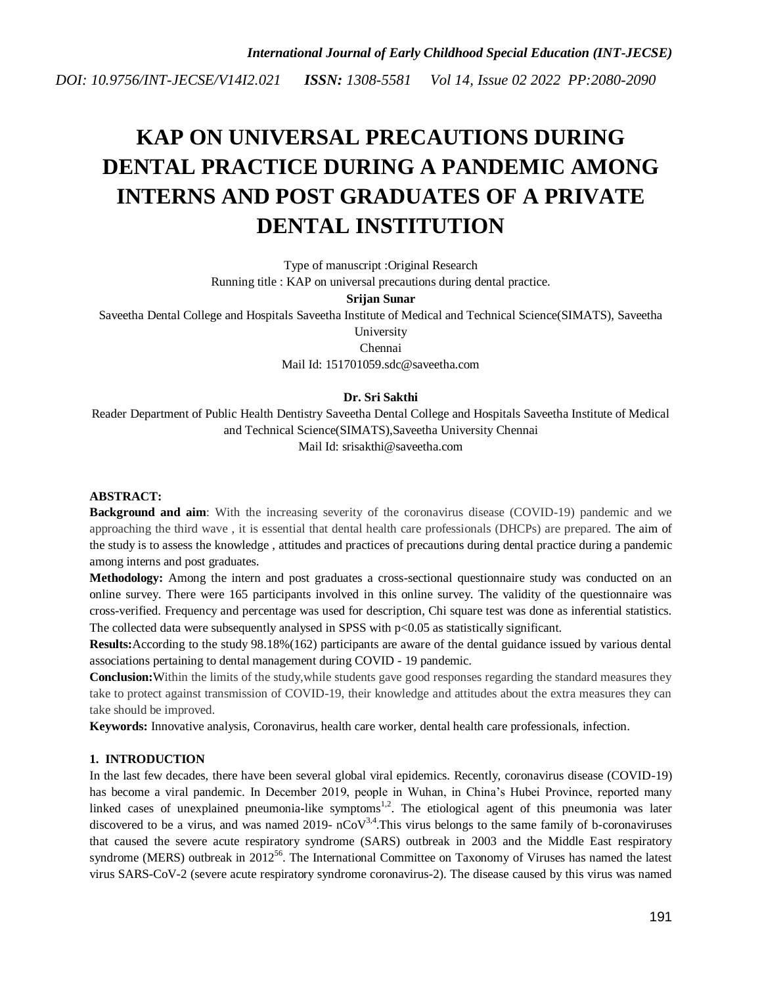# **KAP ON UNIVERSAL PRECAUTIONS DURING DENTAL PRACTICE DURING A PANDEMIC AMONG INTERNS AND POST GRADUATES OF A PRIVATE DENTAL INSTITUTION**

Type of manuscript :Original Research Running title : KAP on universal precautions during dental practice.

#### **Srijan Sunar**

Saveetha Dental College and Hospitals Saveetha Institute of Medical and Technical Science(SIMATS), Saveetha University

Chennai

Mail Id: 151701059.sdc@saveetha.com

# **Dr. Sri Sakthi**

Reader Department of Public Health Dentistry Saveetha Dental College and Hospitals Saveetha Institute of Medical and Technical Science(SIMATS),Saveetha University Chennai

Mail Id: srisakthi@saveetha.com

### **ABSTRACT:**

**Background and aim**: With the increasing severity of the coronavirus disease (COVID-19) pandemic and we approaching the third wave , it is essential that dental health care professionals (DHCPs) are prepared. The aim of the study is to assess the knowledge , attitudes and practices of precautions during dental practice during a pandemic among interns and post graduates.

**Methodology:** Among the intern and post graduates a cross-sectional questionnaire study was conducted on an online survey. There were 165 participants involved in this online survey. The validity of the questionnaire was cross-verified. Frequency and percentage was used for description, Chi square test was done as inferential statistics. The collected data were subsequently analysed in SPSS with p<0.05 as statistically significant.

**Results:**According to the study 98.18%(162) participants are aware of the dental guidance issued by various dental associations pertaining to dental management during COVID - 19 pandemic.

**Conclusion:**Within the limits of the study, while students gave good responses regarding the standard measures they take to protect against transmission of COVID-19, their knowledge and attitudes about the extra measures they can take should be improved.

**Keywords:** Innovative analysis, Coronavirus, health care worker, dental health care professionals, infection.

# **1. INTRODUCTION**

In the last few decades, there have been several global viral epidemics. Recently, coronavirus disease (COVID-19) has become a viral pandemic. In December 2019, people in Wuhan, in China's Hubei Province, reported many linked cases of unexplained pneumonia-like symptoms<sup>[1,2](https://paperpile.com/c/zX1EbG/g9RI+xf6p)</sup>. The etiological agent of this pneumonia was later discovered to be a virus, and was named 2019-  $nCoV<sup>3,4</sup>$  $nCoV<sup>3,4</sup>$  $nCoV<sup>3,4</sup>$ . This virus belongs to the same family of b-coronaviruses that caused the severe acute respiratory syndrome (SARS) outbreak in 2003 and the Middle East respiratory syndrome (MERS) outbreak in [2](https://paperpile.com/c/zX1EbG/JELS)012<sup>[56](https://paperpile.com/c/zX1EbG/JELS)</sup>. The International Committee on Taxonomy of Viruses has named the latest virus SARS-CoV-2 (severe acute respiratory syndrome coronavirus-2). The disease caused by this virus was named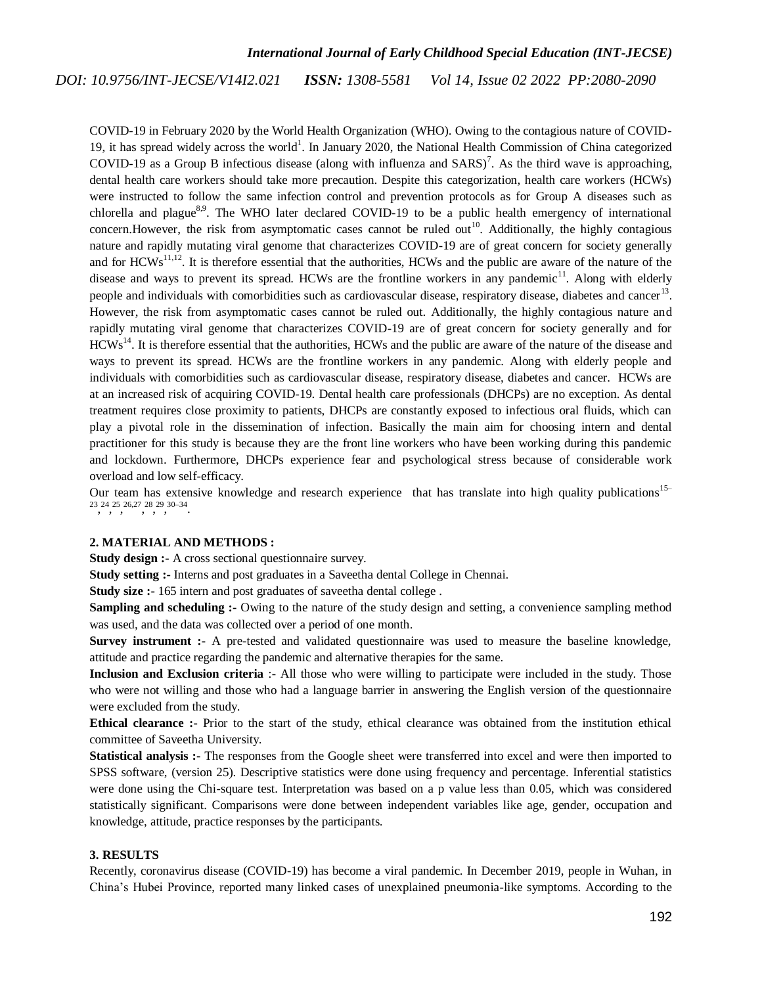# *International Journal of Early Childhood Special Education (INT-JECSE)*

*ISSN: 1308-5581 Vol 14, Issue 02 2022 PP:2080-2090 DOI: 10.9756/INT-JECSE/V14I2.021*

COVID-19 in February 2020 by the World Health Organization (WHO). Owing to the contagious nature of COVID-19, it has spread widely across the world<sup>1</sup>[.](https://paperpile.com/c/zX1EbG/g9RI) In January 2020, the National Health Commission of China categorized COVID-19 as a Group B infectious disease (along with influenza and  $SARS$ [\)](https://paperpile.com/c/zX1EbG/c9sn)<sup>7</sup>. As the third wave is approaching, dental health care workers should take more precaution. Despite this categorization, health care workers (HCWs) were instructed to follow the same infection control and prevention protocols as for Group A diseases such as chlorella and plague<sup>[8,9](https://paperpile.com/c/zX1EbG/jOkz+h7F6)</sup>. The WHO later declared COVID-19 to be a public health emergency of international concern. However, the risk from asymptomatic cases cannot be ruled out<sup>[10](https://paperpile.com/c/zX1EbG/WRkE)</sup>. Additionally, the highly contagious nature and rapidly mutating viral genome that characterizes COVID-19 are of great concern for society generally and for  $HCWs^{11,12}$  $HCWs^{11,12}$  $HCWs^{11,12}$ . It is therefore essential that the authorities, HCWs and the public are aware of the nature of the disease and ways to prevent its spread. HCWs are the frontline workers in any pandemic $11$ . Along with elderly people and individuals with comorbidities such as cardiovascular disease, respiratory disease, diabetes and cancer<sup>[13](https://paperpile.com/c/zX1EbG/Rt7J)</sup>. However, the risk from asymptomatic cases cannot be ruled out. Additionally, the highly contagious nature and rapidly mutating viral genome that characterizes COVID-19 are of great concern for society generally and for  $HCWs^{14}$  $HCWs^{14}$  $HCWs^{14}$ . It is therefore essential that the authorities, HCWs and the public are aware of the nature of the disease and ways to prevent its spread. HCWs are the frontline workers in any pandemic. Along with elderly people and individuals with comorbidities such as cardiovascular disease, respiratory disease, diabetes and cancer. HCWs are at an increased risk of acquiring COVID-19. Dental health care professionals (DHCPs) are no exception. As dental treatment requires close proximity to patients, DHCPs are constantly exposed to infectious oral fluids, which can play a pivotal role in the dissemination of infection. Basically the main aim for choosing intern and dental practitioner for this study is because they are the front line workers who have been working during this pandemic and lockdown. Furthermore, DHCPs experience fear and psychological stress because of considerable work overload and low self-efficacy.

Our team has extensive knowledge and research experience that has translate into high quality publications<sup>[15–](https://paperpile.com/c/zX1EbG/7pLgG+LqeCE+69l3t+BqsRd+W4SX6+Vsrkq+86mDk+Fwq4f+si9uq)</sup> [23](https://paperpile.com/c/zX1EbG/7pLgG+LqeCE+69l3t+BqsRd+W4SX6+Vsrkq+86mDk+Fwq4f+si9uq) , [24](https://paperpile.com/c/zX1EbG/BvFb2) , [25](https://paperpile.com/c/zX1EbG/7lwQq) , [26,27](https://paperpile.com/c/zX1EbG/Cjrdg+C3QJN) , [28](https://paperpile.com/c/zX1EbG/OOJ4o) , [29](https://paperpile.com/c/zX1EbG/dUEJY) , [30–34](https://paperpile.com/c/zX1EbG/2SByF+O9NKn+sAakE+R8Tii+zWOVE) .

# **2. MATERIAL AND METHODS :**

**Study design :-** A cross sectional questionnaire survey.

**Study setting :-** Interns and post graduates in a Saveetha dental College in Chennai.

**Study size :-** 165 intern and post graduates of saveetha dental college.

**Sampling and scheduling :-** Owing to the nature of the study design and setting, a convenience sampling method was used, and the data was collected over a period of one month.

**Survey instrument :-** A pre-tested and validated questionnaire was used to measure the baseline knowledge, attitude and practice regarding the pandemic and alternative therapies for the same.

**Inclusion and Exclusion criteria** :- All those who were willing to participate were included in the study. Those who were not willing and those who had a language barrier in answering the English version of the questionnaire were excluded from the study.

**Ethical clearance :-** Prior to the start of the study, ethical clearance was obtained from the institution ethical committee of Saveetha University.

**Statistical analysis :-** The responses from the Google sheet were transferred into excel and were then imported to SPSS software, (version 25). Descriptive statistics were done using frequency and percentage. Inferential statistics were done using the Chi-square test. Interpretation was based on a p value less than 0.05, which was considered statistically significant. Comparisons were done between independent variables like age, gender, occupation and knowledge, attitude, practice responses by the participants.

# **3. RESULTS**

Recently, coronavirus disease (COVID-19) has become a viral pandemic. In December 2019, people in Wuhan, in China's Hubei Province, reported many linked cases of unexplained pneumonia-like symptoms. According to the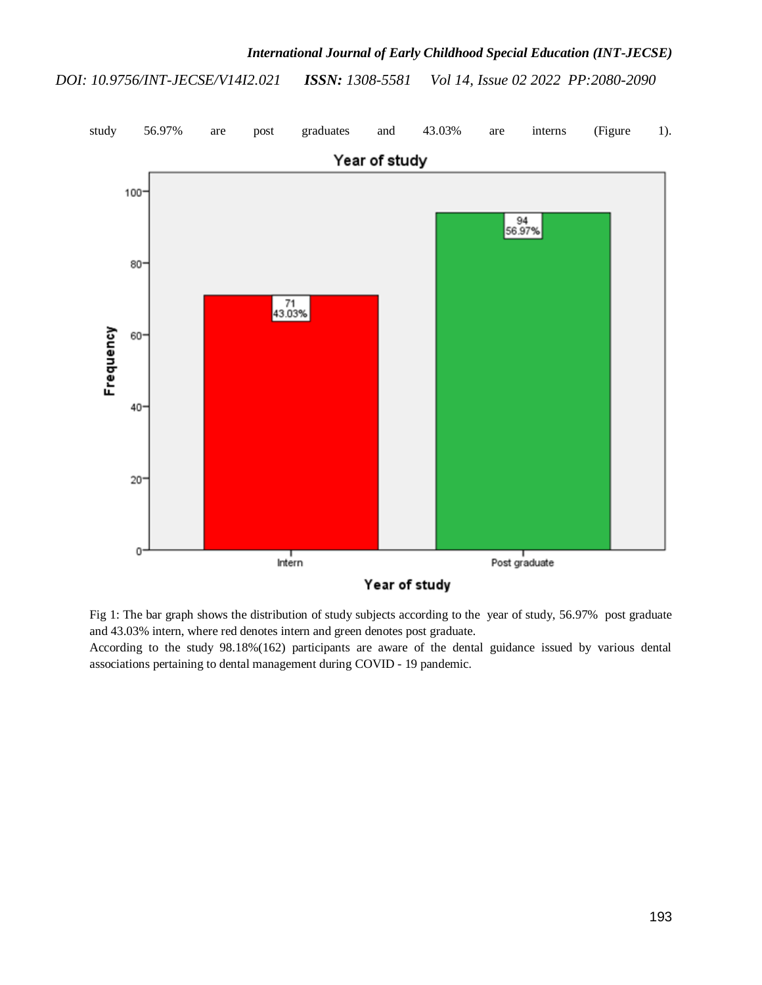

Fig 1: The bar graph shows the distribution of study subjects according to the year of study, 56.97% post graduate and 43.03% intern, where red denotes intern and green denotes post graduate.

According to the study 98.18%(162) participants are aware of the dental guidance issued by various dental associations pertaining to dental management during COVID - 19 pandemic.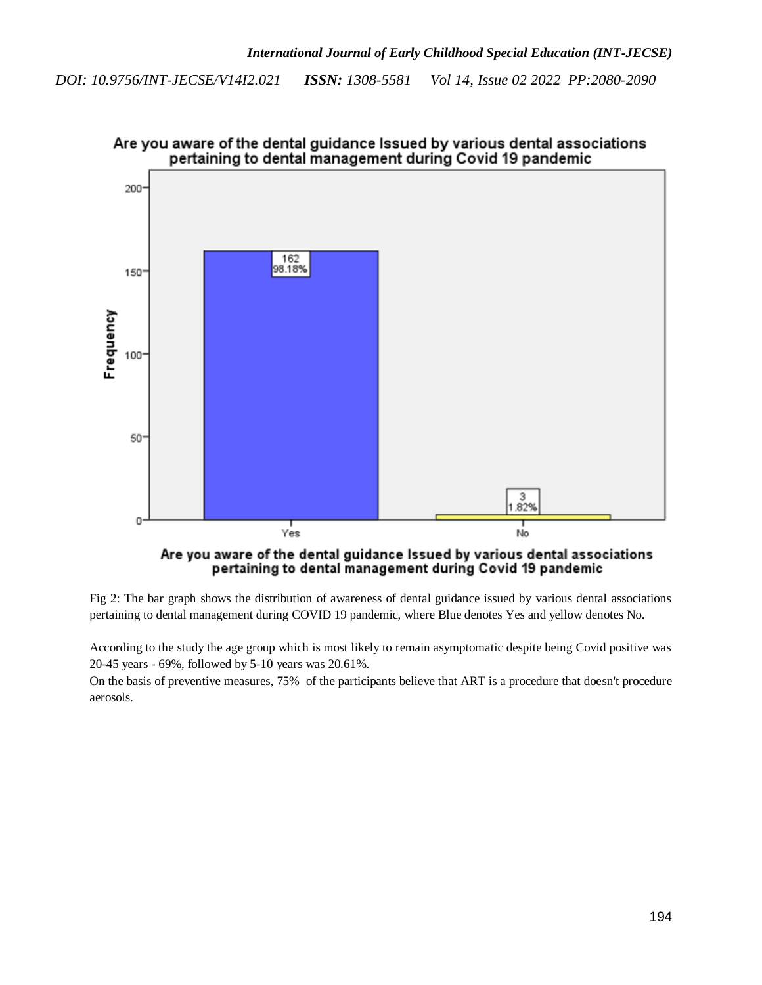

Are you aware of the dental guidance Issued by various dental associations pertaining to dental management during Covid 19 pandemic

Fig 2: The bar graph shows the distribution of awareness of dental guidance issued by various dental associations pertaining to dental management during COVID 19 pandemic, where Blue denotes Yes and yellow denotes No.

pertaining to dental management during Covid 19 pandemic

According to the study the age group which is most likely to remain asymptomatic despite being Covid positive was 20-45 years - 69%, followed by 5-10 years was 20.61%.

On the basis of preventive measures, 75% of the participants believe that ART is a procedure that doesn't procedure aerosols.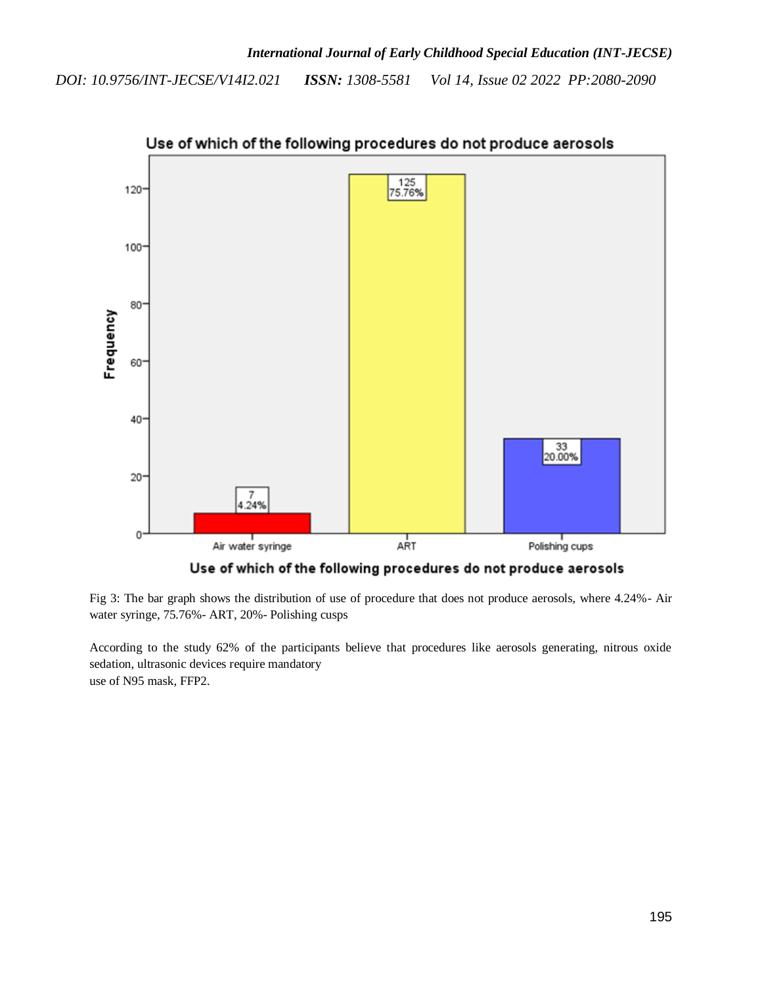

Use of which of the following procedures do not produce aerosols

Use of which of the following procedures do not produce aerosols

Fig 3: The bar graph shows the distribution of use of procedure that does not produce aerosols, where 4.24%- Air water syringe, 75.76%- ART, 20%- Polishing cusps

According to the study 62% of the participants believe that procedures like aerosols generating, nitrous oxide sedation, ultrasonic devices require mandatory use of N95 mask, FFP2.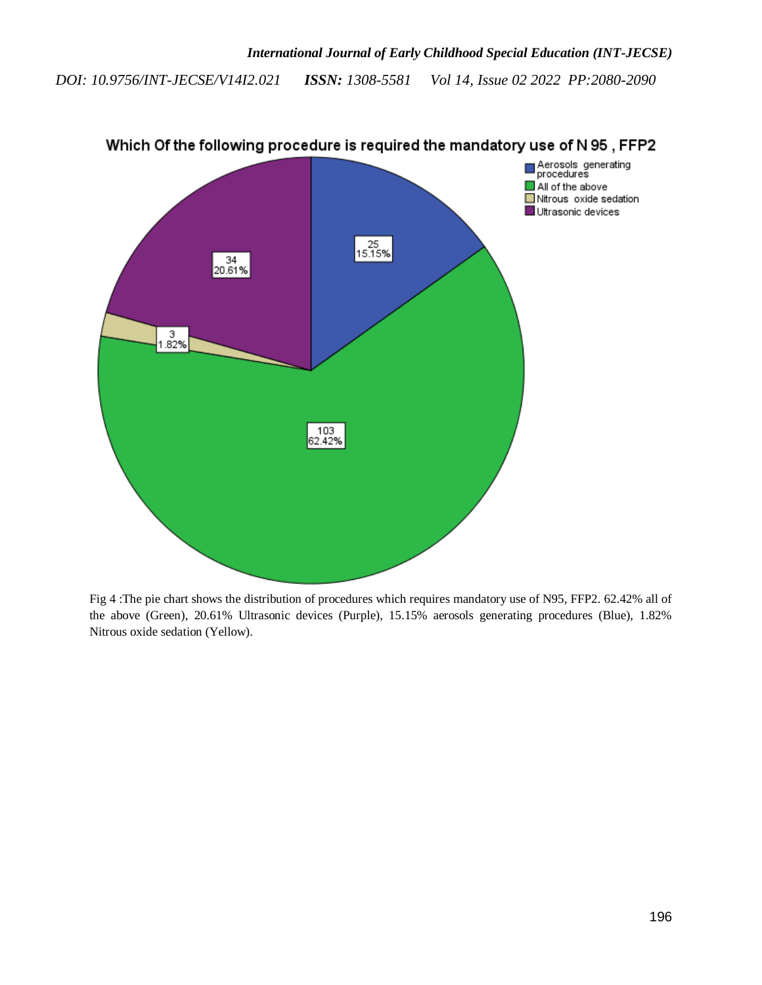

Which Of the following procedure is required the mandatory use of N 95, FFP2

Fig 4 :The pie chart shows the distribution of procedures which requires mandatory use of N95, FFP2. 62.42% all of the above (Green), 20.61% Ultrasonic devices (Purple), 15.15% aerosols generating procedures (Blue), 1.82% Nitrous oxide sedation (Yellow).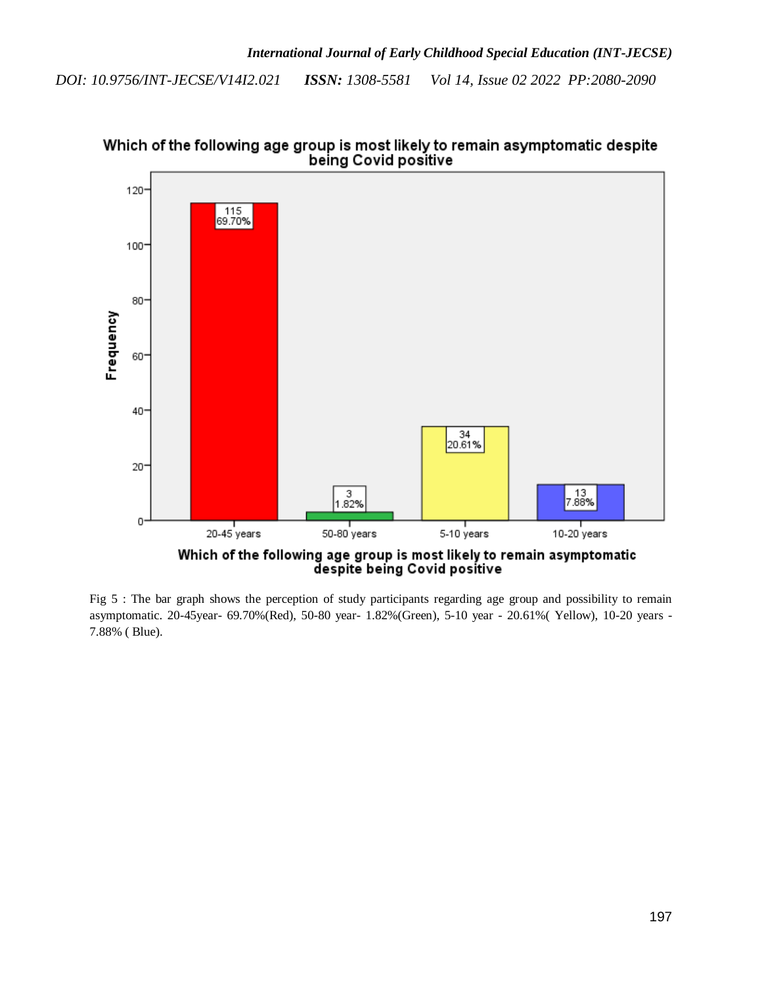

Which of the following age group is most likely to remain asymptomatic despite being Covid positive

Fig 5 : The bar graph shows the perception of study participants regarding age group and possibility to remain asymptomatic. 20-45year- 69.70%(Red), 50-80 year- 1.82%(Green), 5-10 year - 20.61%( Yellow), 10-20 years - 7.88% ( Blue).

despite being Covid positive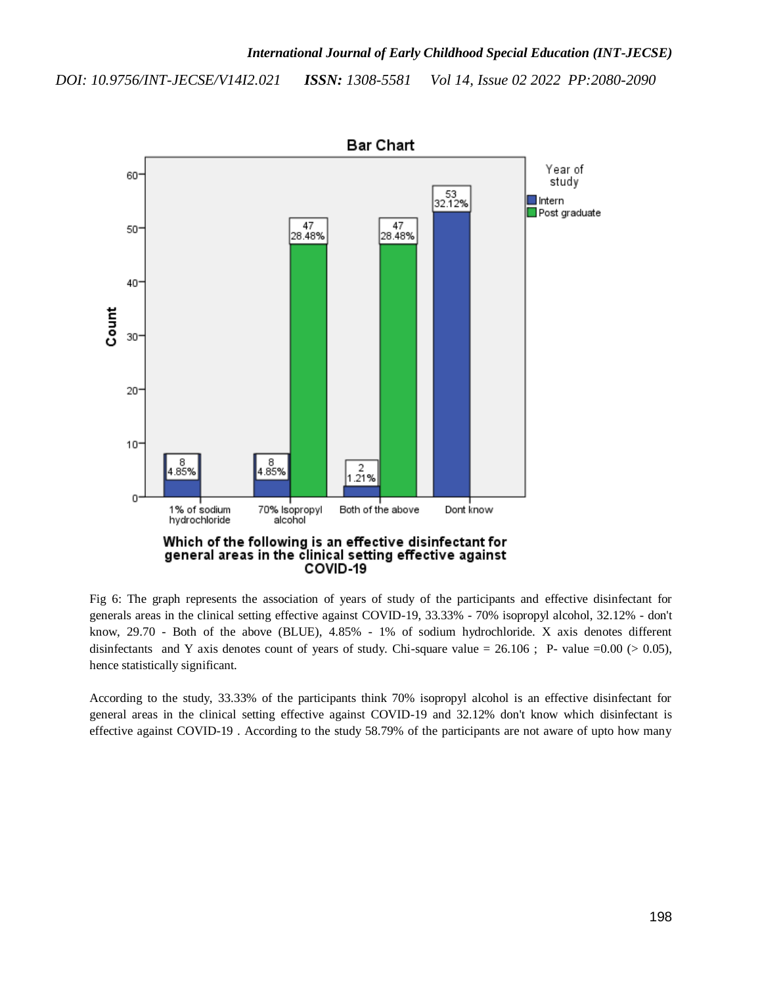

Fig 6: The graph represents the association of years of study of the participants and effective disinfectant for generals areas in the clinical setting effective against COVID-19, 33.33% - 70% isopropyl alcohol, 32.12% - don't know, 29.70 - Both of the above (BLUE), 4.85% - 1% of sodium hydrochloride. X axis denotes different disinfectants and Y axis denotes count of years of study. Chi-square value =  $26.106$ ; P- value =  $0.00$  ( $> 0.05$ ), hence statistically significant.

According to the study, 33.33% of the participants think 70% isopropyl alcohol is an effective disinfectant for general areas in the clinical setting effective against COVID-19 and 32.12% don't know which disinfectant is effective against COVID-19 . According to the study 58.79% of the participants are not aware of upto how many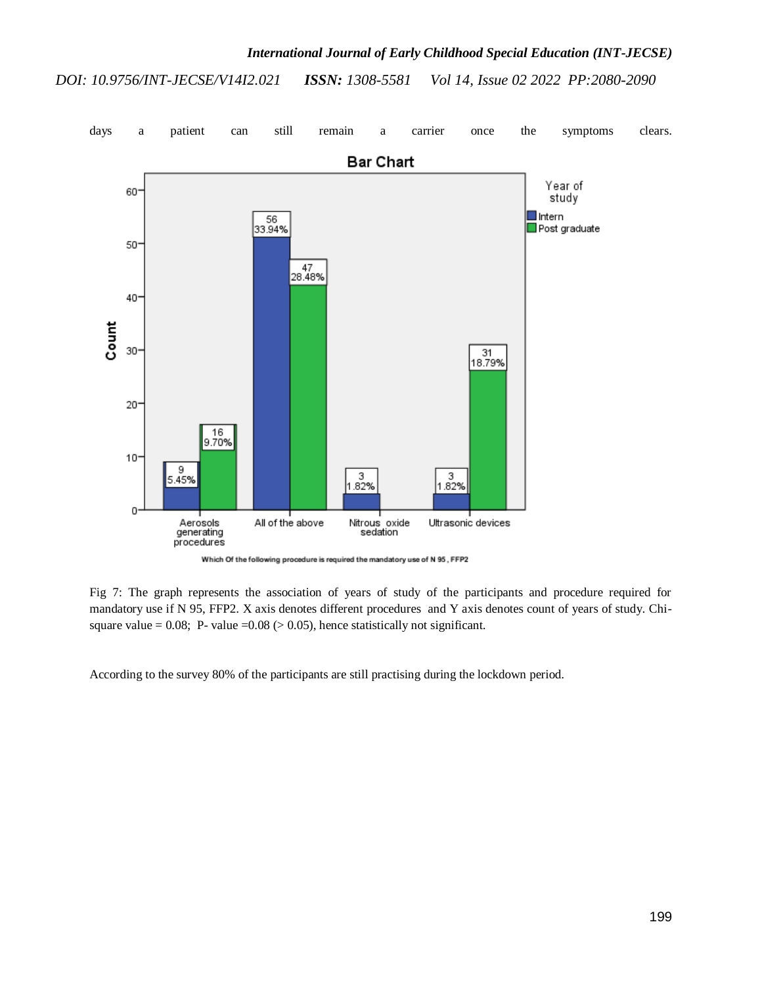

Which Of the following procedure is required the mandatory use of N 95, FFP2

Fig 7: The graph represents the association of years of study of the participants and procedure required for mandatory use if N 95, FFP2. X axis denotes different procedures and Y axis denotes count of years of study. Chisquare value = 0.08; P- value = 0.08 ( $> 0.05$ ), hence statistically not significant.

According to the survey 80% of the participants are still practising during the lockdown period.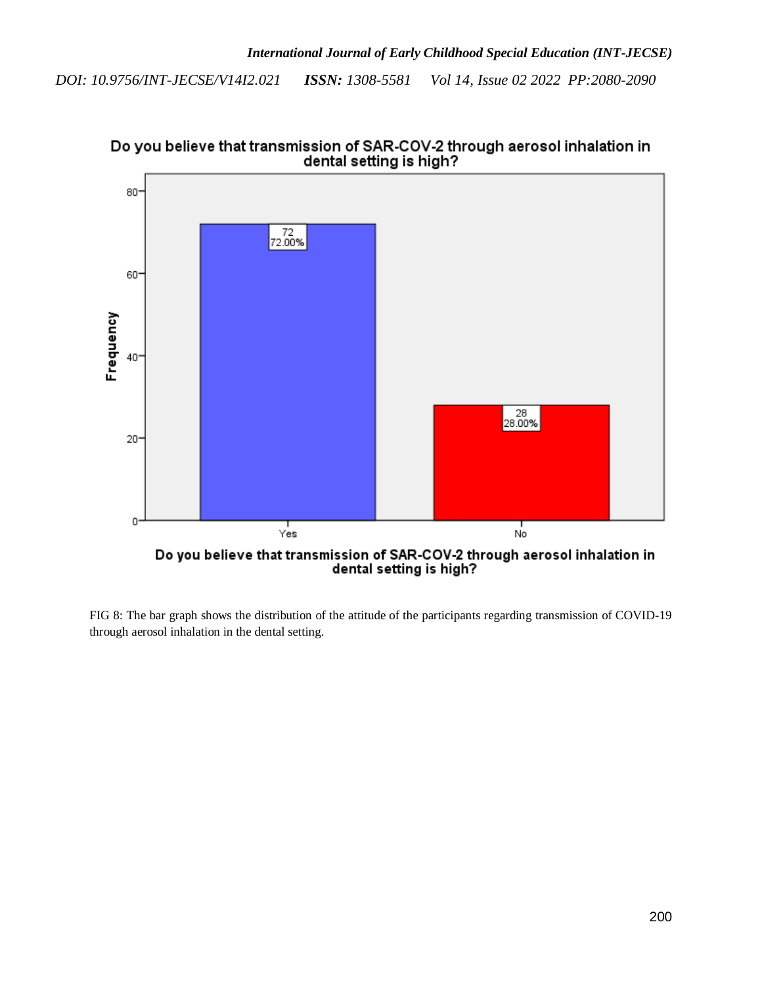

Do you believe that transmission of SAR-COV-2 through aerosol inhalation in<br>dental setting is high?

FIG 8: The bar graph shows the distribution of the attitude of the participants regarding transmission of COVID-19 through aerosol inhalation in the dental setting.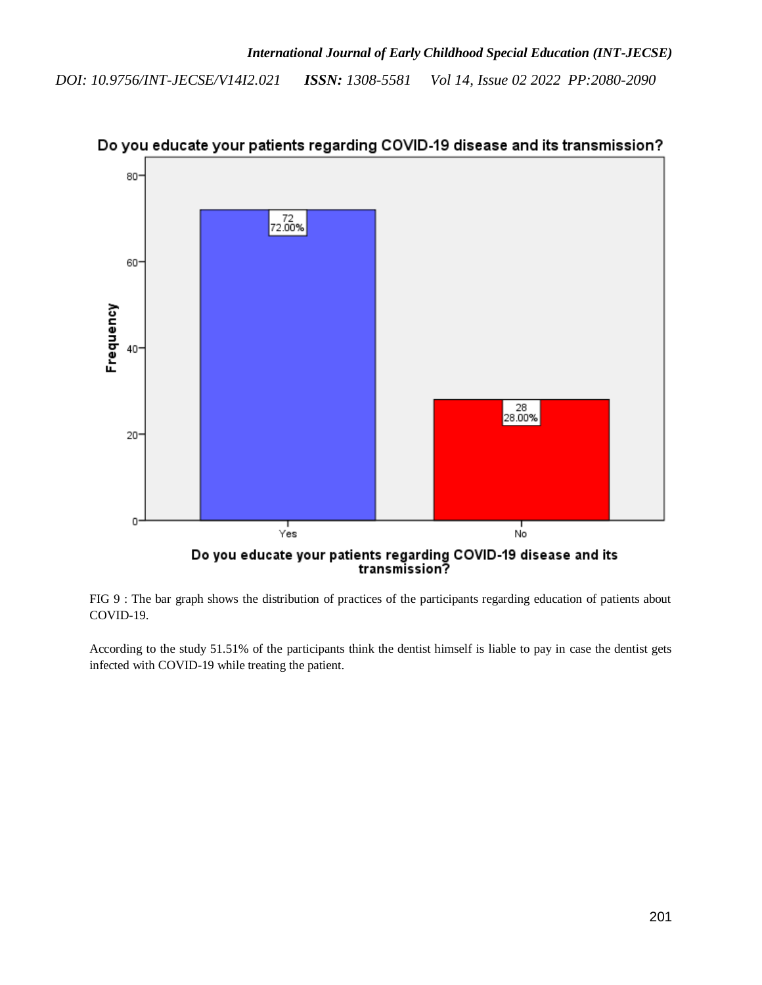

Do you educate your patients regarding COVID-19 disease and its transmission?

FIG 9 : The bar graph shows the distribution of practices of the participants regarding education of patients about COVID-19.

According to the study 51.51% of the participants think the dentist himself is liable to pay in case the dentist gets infected with COVID-19 while treating the patient.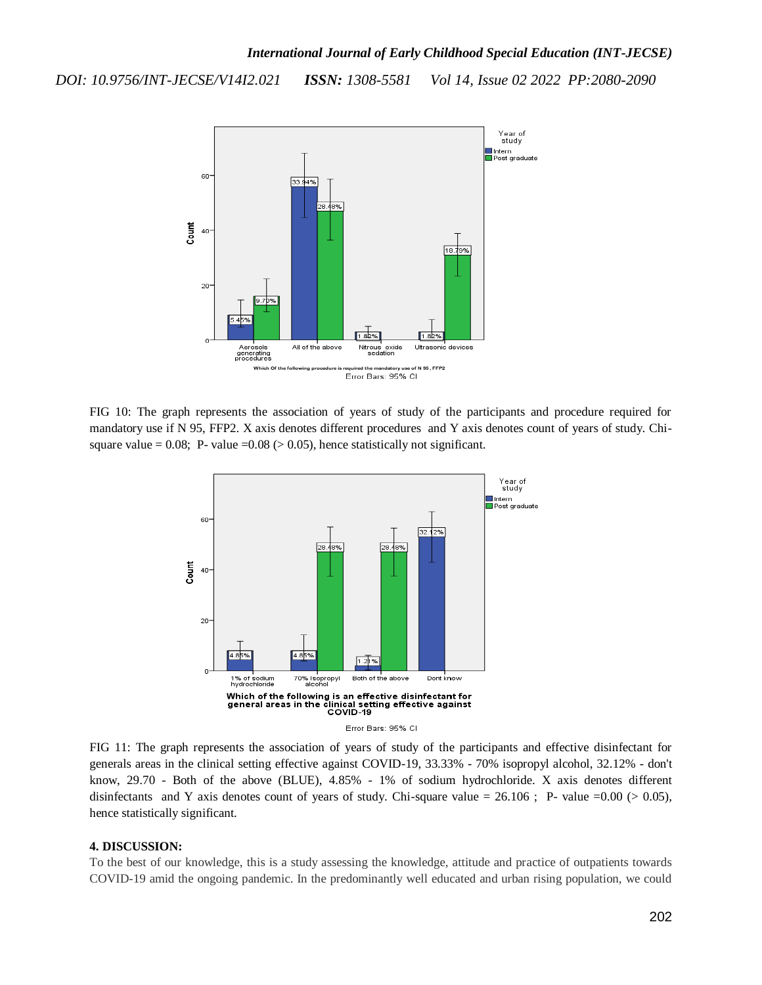

FIG 10: The graph represents the association of years of study of the participants and procedure required for mandatory use if N 95, FFP2. X axis denotes different procedures and Y axis denotes count of years of study. Chisquare value = 0.08; P- value = 0.08 ( $> 0.05$ ), hence statistically not significant.



FIG 11: The graph represents the association of years of study of the participants and effective disinfectant for generals areas in the clinical setting effective against COVID-19, 33.33% - 70% isopropyl alcohol, 32.12% - don't know, 29.70 - Both of the above (BLUE), 4.85% - 1% of sodium hydrochloride. X axis denotes different disinfectants and Y axis denotes count of years of study. Chi-square value =  $26.106$ ; P- value =  $0.00$  ( $> 0.05$ ), hence statistically significant.

#### **4. DISCUSSION:**

To the best of our knowledge, this is a study assessing the knowledge, attitude and practice of outpatients towards COVID-19 amid the ongoing pandemic. In the predominantly well educated and urban rising population, we could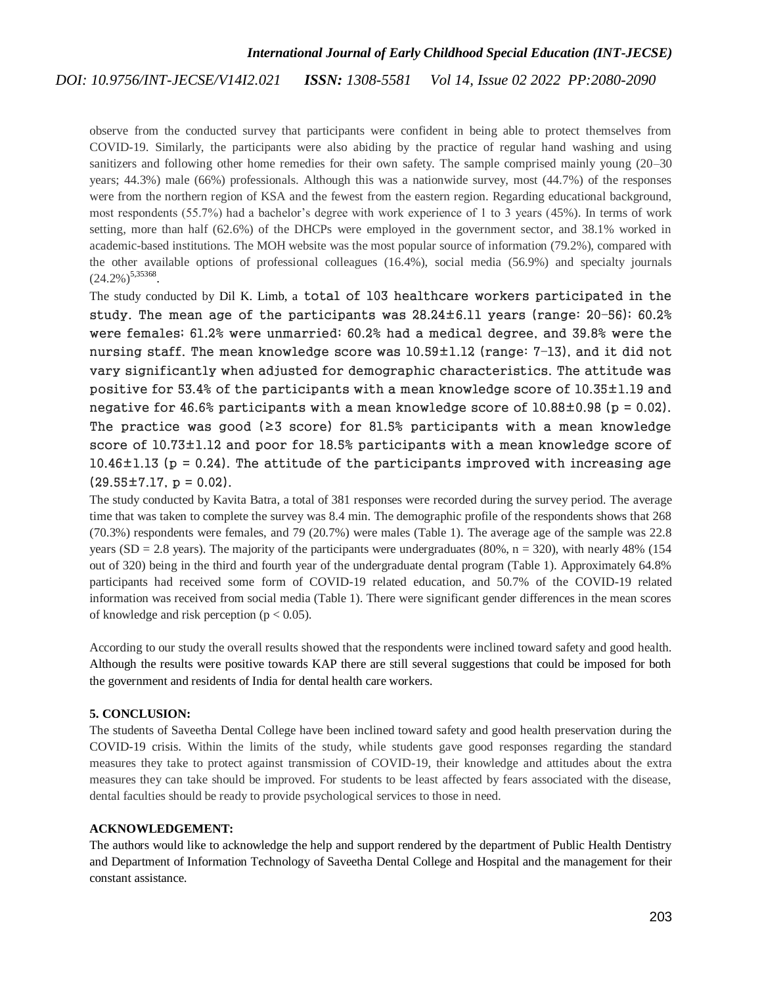# *International Journal of Early Childhood Special Education (INT-JECSE)*

#### *ISSN: 1308-5581 Vol 14, Issue 02 2022 PP:2080-2090 DOI: 10.9756/INT-JECSE/V14I2.021*

observe from the conducted survey that participants were confident in being able to protect themselves from COVID-19. Similarly, the participants were also abiding by the practice of regular hand washing and using sanitizers and following other home remedies for their own safety. The sample comprised mainly young (20–30) years; 44.3%) male (66%) professionals. Although this was a nationwide survey, most (44.7%) of the responses were from the northern region of KSA and the fewest from the eastern region. Regarding educational background, most respondents (55.7%) had a bachelor's degree with work experience of 1 to 3 years (45%). In terms of work setting, more than half (62.6%) of the DHCPs were employed in the government sector, and 38.1% worked in academic-based institutions. The MOH website was the most popular source of information (79.2%), compared with the other available options of professional colleagues (16.4%), social media (56.9%) and specialty journals  $(24.2\%)^{5,35368}.$  $(24.2\%)^{5,35368}.$  $(24.2\%)^{5,35368}.$  $(24.2\%)^{5,35368}.$  $(24.2\%)^{5,35368}.$  $(24.2\%)^{5,35368}.$ 

The study conducted by Dil K. Limb, a total of 103 healthcare workers participated in the study. The mean age of the participants was 28.24±6.11 years (range: 20–56); 60.2% were females; 61.2% were unmarried; 60.2% had a medical degree, and 39.8% were the nursing staff. The mean knowledge score was 10.59±1.12 (range: 7–13), and it did not vary significantly when adjusted for demographic characteristics. The attitude was positive for 53.4% of the participants with a mean knowledge score of 10.35±1.19 and negative for 46.6% participants with a mean knowledge score of  $10.88\pm0.98$  (p = 0.02). The practice was good ( $\geq 3$  score) for 81.5% participants with a mean knowledge score of 10.73±1.12 and poor for 18.5% participants with a mean knowledge score of  $10.46\pm1.13$  (p = 0.24). The attitude of the participants improved with increasing age  $(29.55 \pm 7.17, p = 0.02)$ .

The study conducted by Kavita Batra, a total of 381 responses were recorded during the survey period. The average time that was taken to complete the survey was 8.4 min. The demographic profile of the respondents shows that 268 (70.3%) respondents were females, and 79 (20.7%) were males (Table 1). The average age of the sample was 22.8 years (SD = 2.8 years). The majority of the participants were undergraduates (80%,  $n = 320$ ), with nearly 48% (154) out of 320) being in the third and fourth year of the undergraduate dental program (Table 1). Approximately 64.8% participants had received some form of COVID-19 related education, and 50.7% of the COVID-19 related information was received from social media (Table 1). There were significant gender differences in the mean scores of knowledge and risk perception ( $p < 0.05$ ).

According to our study the overall results showed that the respondents were inclined toward safety and good health. Although the results were positive towards KAP there are still several suggestions that could be imposed for both the government and residents of India for dental health care workers.

# **5. CONCLUSION:**

The students of Saveetha Dental College have been inclined toward safety and good health preservation during the COVID-19 crisis. Within the limits of the study, while students gave good responses regarding the standard measures they take to protect against transmission of COVID-19, their knowledge and attitudes about the extra measures they can take should be improved. For students to be least affected by fears associated with the disease, dental faculties should be ready to provide psychological services to those in need.

# **ACKNOWLEDGEMENT:**

The authors would like to acknowledge the help and support rendered by the department of Public Health Dentistry and Department of Information Technology of Saveetha Dental College and Hospital and the management for their constant assistance.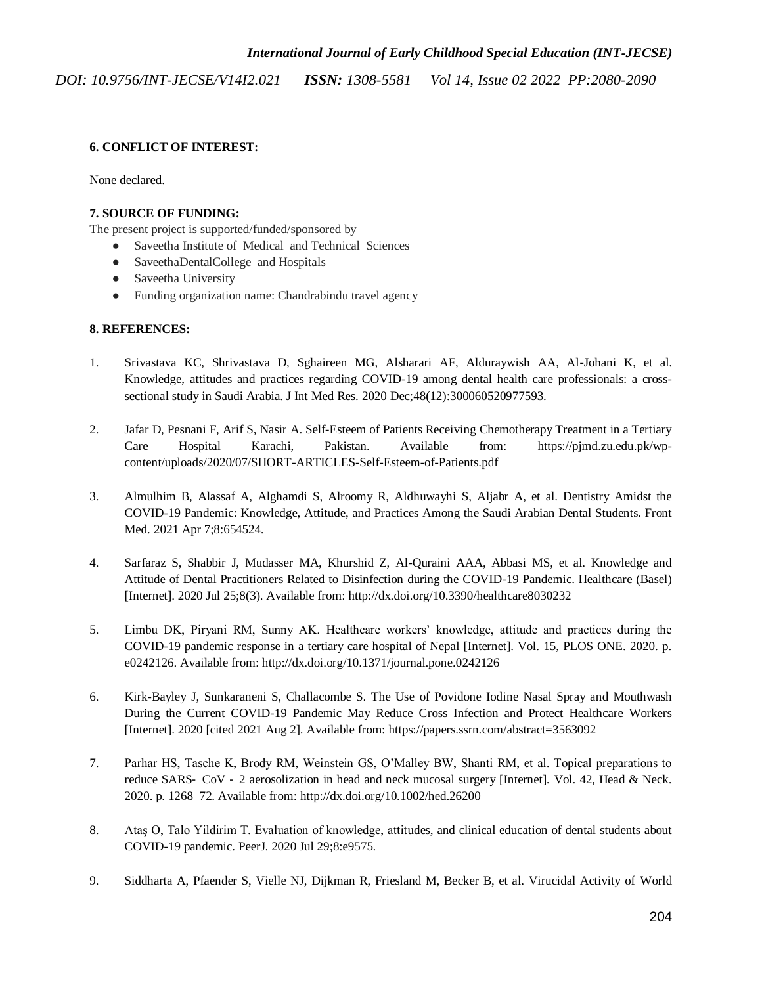# **6. CONFLICT OF INTEREST:**

None declared.

# **7. SOURCE OF FUNDING:**

The present project is supported/funded/sponsored by

- Saveetha Institute of Medical and Technical Sciences
- SaveethaDentalCollege and Hospitals
- Saveetha University
- Funding organization name: Chandrabindu travel agency

# **8. REFERENCES:**

- 1. [Srivastava KC, Shrivastava D, Sghaireen MG, Alsharari AF, Alduraywish AA, Al-Johani K, et al.](http://paperpile.com/b/zX1EbG/g9RI)  [Knowledge, attitudes and practices regarding COVID-19 among dental health care professionals: a cross](http://paperpile.com/b/zX1EbG/g9RI)[sectional study in Saudi Arabia. J Int Med Res. 2020 Dec;48\(12\):300060520977593.](http://paperpile.com/b/zX1EbG/g9RI)
- 2. Jafar D, Pesnani F, Arif S, Nasir [A. Self-Esteem of Patients Receiving Chemotherapy Treatment in a Tertiary](http://paperpile.com/b/zX1EbG/xf6p)  [Care Hospital Karachi, Pakistan. Available from: https://pjmd.zu.edu.pk/wp](http://paperpile.com/b/zX1EbG/xf6p)content/uploads/2020/07/SHORT-ARTICLES-Self-Esteem-of-Patients.pdf
- 3. [Almulhim B, Alassaf A, Alghamdi S, Alroomy R, Aldhuwayhi S, Aljabr A, et al. Dentistry Amidst the](http://paperpile.com/b/zX1EbG/l7uB)  [COVID-19 Pandemic: Knowledge, Attitude, and Practices Among the Saudi Arabian Dental Students. Front](http://paperpile.com/b/zX1EbG/l7uB)  [Med. 2021 Apr 7;8:654524.](http://paperpile.com/b/zX1EbG/l7uB)
- 4. [Sarfaraz S, Shabbir J, Mudasser MA, Khurshid Z, Al-Quraini AAA, Abbasi MS, et al. Knowledge and](http://paperpile.com/b/zX1EbG/AVp4)  [Attitude of Dental Practitioners Related to Disinfection during the COVID-19 Pandemic. Healthcare \(Basel\)](http://paperpile.com/b/zX1EbG/AVp4)  [\[Internet\]. 2020 Jul 25;8\(3\). Available from: http://dx.doi.org/10.3390/healthcare8030232](http://paperpile.com/b/zX1EbG/AVp4)
- 5. [Limbu DK, Piryani RM, Sunny AK. Healthcare workers' knowledge, attitude and practices during the](http://paperpile.com/b/zX1EbG/JELS)  [COVID-19 pandemic response in a tertiary care hospital of Nepal \[Internet\]. Vol. 15, PLOS ONE. 2020. p.](http://paperpile.com/b/zX1EbG/JELS)  [e0242126. Available from: http://dx.doi.org/10.1371/journal.pone.0242126](http://paperpile.com/b/zX1EbG/JELS)
- 6. [Kirk-Bayley J, Sunkaraneni S, Challacombe S. The Use of Povidone Iodine Nasal Spray and Mouthwash](http://paperpile.com/b/zX1EbG/glUi)  [During the Current COVID-19 Pandemic May Reduce Cross Infection and Protect Healthcare Workers](http://paperpile.com/b/zX1EbG/glUi)  [\[Internet\]. 2020 \[cited 2021 Aug 2\]. Available from: https://papers.ssrn.com/abstract=3563092](http://paperpile.com/b/zX1EbG/glUi)
- 7. [Parhar HS, Tasche K, Brody RM, Weinstein GS, O'Malley BW, Shanti RM, et al. Topical preparations to](http://paperpile.com/b/zX1EbG/c9sn)  reduce SARS‐ CoV ‐ [2 aerosolization in head and neck mucosal surgery \[Internet\]. Vol. 42, Head & Neck.](http://paperpile.com/b/zX1EbG/c9sn)  [2020. p. 1268–72. Available from: http://dx.doi.org/10.1002/hed.26200](http://paperpile.com/b/zX1EbG/c9sn)
- 8. [Ataş O, Talo Yildirim T. Evaluation of knowledge, attitudes, and clinical education of dental students about](http://paperpile.com/b/zX1EbG/jOkz)  [COVID-19 pandemic. PeerJ. 2020 Jul 29;8:e9575.](http://paperpile.com/b/zX1EbG/jOkz)
- 9. [Siddharta A, Pfaender S, Vielle NJ, Dijkman R, Friesland M, Becker B, et al. Virucidal Activity of World](http://paperpile.com/b/zX1EbG/h7F6)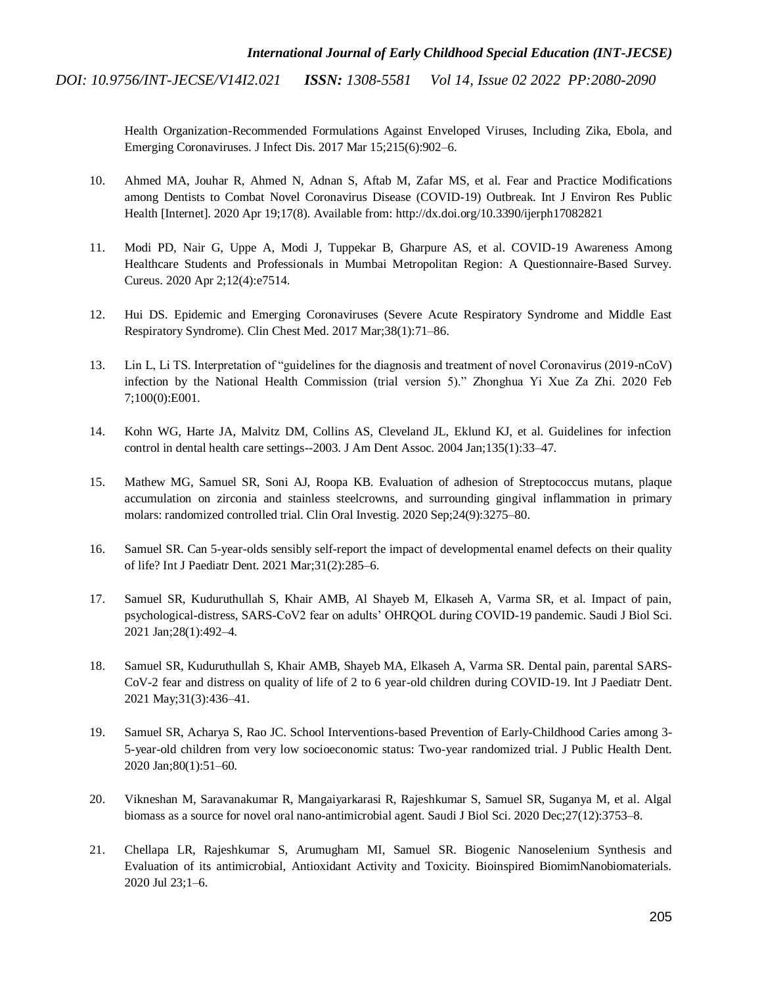> Health Organization-Recommended Formulations Against Enveloped Viruses, Including Zika, Ebola, and Emerging Coronaviruses. J Infect Dis. 2017 Mar 15;215(6):902–6.

- 10. [Ahmed MA, Jouhar R, Ahmed N, Adnan S, Aftab M, Zafar MS, et al. Fear and Practice Modifications](http://paperpile.com/b/zX1EbG/WRkE)  [among Dentists to Combat Novel Coronavirus Disease \(COVID-19\) Outbreak. Int J Environ Res Public](http://paperpile.com/b/zX1EbG/WRkE)  [Health \[Internet\]. 2020 Apr 19;17\(8\). Available from: http://dx.doi.org/10.3390/ijerph17082821](http://paperpile.com/b/zX1EbG/WRkE)
- 11. [Modi PD, Nair G, Uppe A, Modi J, Tuppekar B, Gharpure AS, et al. COVID-19 Awareness Among](http://paperpile.com/b/zX1EbG/ZCvu)  [Healthcare Students and Professionals in Mumbai Metropolitan Region: A Questionnaire-Based Survey.](http://paperpile.com/b/zX1EbG/ZCvu)  [Cureus. 2020 Apr 2;12\(4\):e7514.](http://paperpile.com/b/zX1EbG/ZCvu)
- 12. [Hui DS. Epidemic and Emerging Coronaviruses \(Severe Acute Respiratory Syndrome and Middle East](http://paperpile.com/b/zX1EbG/iVah)  Respiratory Syndrome). [Clin Chest Med. 2017 Mar;38\(1\):71–86.](http://paperpile.com/b/zX1EbG/iVah)
- 13. [Lin L, Li TS. Interpretation of "guidelines for the diagnosis and treatment of novel Coronavirus \(2019-nCoV\)](http://paperpile.com/b/zX1EbG/Rt7J)  [infection by the National Health Commission \(trial version 5\)." Zhonghua Yi Xue Za Zhi. 2020 Feb](http://paperpile.com/b/zX1EbG/Rt7J)  [7;100\(0\):E001.](http://paperpile.com/b/zX1EbG/Rt7J)
- 14. [Kohn WG, Harte JA, Malvitz DM, Collins AS, Cleveland JL, Eklund KJ, et al. Guidelines for infection](http://paperpile.com/b/zX1EbG/Wi98)  [control in dental health care settings--2003. J Am Dent Assoc. 2004 Jan;135\(1\):33–47.](http://paperpile.com/b/zX1EbG/Wi98)
- 15. [Mathew MG, Samuel SR, Soni AJ, Roopa KB. Evaluation of adhesion of Streptococcus mutans, plaque](http://paperpile.com/b/zX1EbG/7pLgG)  [accumulation on zirconia and stainless steelcrowns, and surrounding gingival inflammation in primary](http://paperpile.com/b/zX1EbG/7pLgG)  [molars: randomized controlled trial. Clin Oral Investig. 2020 Sep;24\(9\):3275–80.](http://paperpile.com/b/zX1EbG/7pLgG)
- 16. [Samuel SR. Can 5-year-olds sensibly self-report the impact of developmental enamel defects on their quality](http://paperpile.com/b/zX1EbG/LqeCE)  [of life? Int J Paediatr Dent. 2021 Mar;31\(2\):285–6.](http://paperpile.com/b/zX1EbG/LqeCE)
- 17. [Samuel SR, Kuduruthullah S, Khair AMB, Al Shayeb M, Elkaseh A, Varma SR, et al. Impact of pain,](http://paperpile.com/b/zX1EbG/69l3t)  [psychological-distress, SARS-CoV2 fear on adults' OHRQOL during COVID-19 pandemic. Saudi J Biol Sci.](http://paperpile.com/b/zX1EbG/69l3t)  [2021 Jan;28\(1\):492–4.](http://paperpile.com/b/zX1EbG/69l3t)
- 18. [Samuel SR, Kuduruthullah S, Khair AMB, Shayeb MA, Elkaseh A, Varma SR. Dental pain, parental SARS-](http://paperpile.com/b/zX1EbG/BqsRd)[CoV-2 fear and distress on quality of life of 2 to 6 year-old children during COVID-19. Int J Paediatr Dent.](http://paperpile.com/b/zX1EbG/BqsRd)  [2021 May;31\(3\):436–41.](http://paperpile.com/b/zX1EbG/BqsRd)
- 19. [Samuel SR, Acharya S, Rao JC. School Interventions-based Prevention of Early-Childhood Caries among 3-](http://paperpile.com/b/zX1EbG/W4SX6) [5-year-old children from very low socioeconomic status: Two-year randomized trial. J Public Health Dent.](http://paperpile.com/b/zX1EbG/W4SX6)  [2020 Jan;80\(1\):51–60.](http://paperpile.com/b/zX1EbG/W4SX6)
- 20. [Vikneshan M, Saravanakumar R, Mangaiyarkarasi R, Rajeshkumar S, Samuel SR, Suganya M, et al. Algal](http://paperpile.com/b/zX1EbG/Vsrkq)  [biomass as a source for novel oral nano-antimicrobial agent. Saudi J Biol Sci. 2020 Dec;27\(12\):3753–8.](http://paperpile.com/b/zX1EbG/Vsrkq)
- 21. [Chellapa LR, Rajeshkumar S, Arumugham MI, Samuel SR. Biogenic Nanoselenium Synthesis and](http://paperpile.com/b/zX1EbG/86mDk)  [Evaluation of its antimicrobial, Antioxidant Activity and Toxicity. Bioinspired BiomimNanobiomaterials.](http://paperpile.com/b/zX1EbG/86mDk)  [2020 Jul 23;1–6.](http://paperpile.com/b/zX1EbG/86mDk)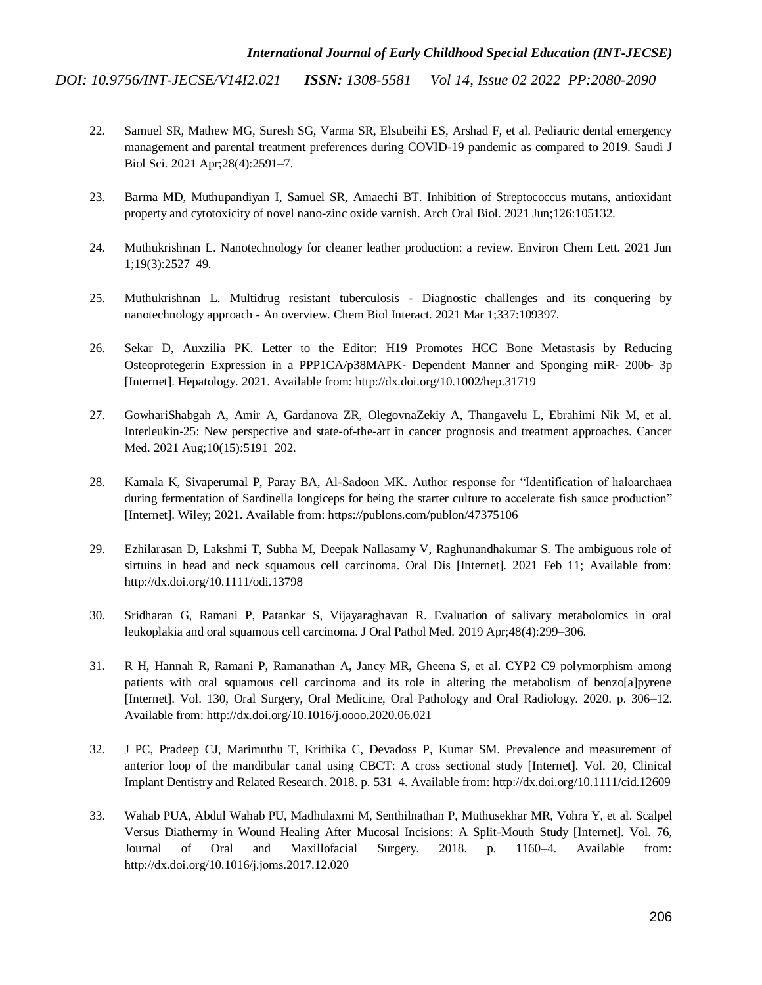- 22. Samuel [SR, Mathew MG, Suresh SG, Varma SR, Elsubeihi ES, Arshad F, et al. Pediatric dental emergency](http://paperpile.com/b/zX1EbG/Fwq4f)  [management and parental treatment preferences during COVID-19 pandemic as compared to 2019. Saudi J](http://paperpile.com/b/zX1EbG/Fwq4f)  [Biol Sci. 2021 Apr;28\(4\):2591–7.](http://paperpile.com/b/zX1EbG/Fwq4f)
- 23. [Barma MD, Muthupandiyan I, Samuel SR, Amaechi BT. Inhibition of Streptococcus mutans, antioxidant](http://paperpile.com/b/zX1EbG/si9uq)  [property and cytotoxicity of novel nano-zinc oxide varnish. Arch Oral Biol. 2021 Jun;126:105132.](http://paperpile.com/b/zX1EbG/si9uq)
- 24. [Muthukrishnan L. Nanotechnology for cleaner leather production: a review. Environ Chem Lett. 2021 Jun](http://paperpile.com/b/zX1EbG/BvFb2)  [1;19\(3\):2527–49.](http://paperpile.com/b/zX1EbG/BvFb2)
- 25. [Muthukrishnan L. Multidrug resistant tuberculosis -](http://paperpile.com/b/zX1EbG/7lwQq) Diagnostic challenges and its conquering by nanotechnology approach - [An overview. Chem Biol Interact. 2021 Mar 1;337:109397.](http://paperpile.com/b/zX1EbG/7lwQq)
- 26. [Sekar D, Auxzilia PK. Letter to the Editor: H19 Promotes HCC Bone Metastasis by Reducing](http://paperpile.com/b/zX1EbG/Cjrdg)  [Osteoprotegerin Expression in a PPP1CA/p38MAPK](http://paperpile.com/b/zX1EbG/Cjrdg)‐ Dependent Manner and Sponging miR‐ 200b‐ 3p [\[Internet\]. Hepatology. 2021. Available from: http://dx.doi.org/10.1002/hep.31719](http://paperpile.com/b/zX1EbG/Cjrdg)
- 27. [GowhariShabgah A, Amir A, Gardanova ZR, OlegovnaZekiy A, Thangavelu L, Ebrahimi Nik M, et al.](http://paperpile.com/b/zX1EbG/C3QJN)  [Interleukin-25: New perspective and state-of-the-art in cancer prognosis and treatment approaches. Cancer](http://paperpile.com/b/zX1EbG/C3QJN)  [Med. 2021 Aug;10\(15\):5191–202.](http://paperpile.com/b/zX1EbG/C3QJN)
- 28. [Kamala K, Sivaperumal P, Paray BA, Al-Sadoon MK. Author response for "Identification of haloarchaea](http://paperpile.com/b/zX1EbG/OOJ4o)  during fermentation of Sardinella longiceps for being the starter culture to accelerate fish sauce production" [\[Internet\]. Wiley; 2021. Available from: https://publons.com/publon/47375106](http://paperpile.com/b/zX1EbG/OOJ4o)
- 29. Ezhilarasan D, Lakshmi T, Subha M, [Deepak Nallasamy V, Raghunandhakumar S. The ambiguous role of](http://paperpile.com/b/zX1EbG/dUEJY)  [sirtuins in head and neck squamous cell carcinoma. Oral Dis \[Internet\]. 2021 Feb 11; Available from:](http://paperpile.com/b/zX1EbG/dUEJY)  [http://dx.doi.org/10.1111/odi.13798](http://paperpile.com/b/zX1EbG/dUEJY)
- 30. [Sridharan G, Ramani P, Patankar S, Vijayaraghavan R. Evaluation of salivary metabolomics in oral](http://paperpile.com/b/zX1EbG/2SByF)  [leukoplakia and oral squamous cell carcinoma. J Oral Pathol Med. 2019 Apr;48\(4\):299–306.](http://paperpile.com/b/zX1EbG/2SByF)
- 31. [R H, Hannah R, Ramani P, Ramanathan A, Jancy MR, Gheena S, et al. CYP2 C9 polymorphism among](http://paperpile.com/b/zX1EbG/O9NKn)  [patients with oral squamous cell carcinoma and its role in altering the metabolism of benzo\[a\]pyrene](http://paperpile.com/b/zX1EbG/O9NKn)  [\[Internet\]. Vol. 130, Oral Surgery, Oral Medicine, Oral Pathology and Oral Radiology. 2020. p. 306–12.](http://paperpile.com/b/zX1EbG/O9NKn)  [Available from: http://dx.doi.org/10.1016/j.oooo.2020.06.021](http://paperpile.com/b/zX1EbG/O9NKn)
- 32. [J PC, Pradeep CJ, Marimuthu T, Krithika C, Devadoss P, Kumar SM. Prevalence and measurement of](http://paperpile.com/b/zX1EbG/sAakE)  [anterior loop of the mandibular canal using CBCT: A cross sectional study \[Internet\]. Vol. 20, Clinical](http://paperpile.com/b/zX1EbG/sAakE)  [Implant Dentistry and Related Research. 2018. p.](http://paperpile.com/b/zX1EbG/sAakE) 531–4. Available from: [http://dx.doi.org/10.1111/cid.12609](http://paperpile.com/b/zX1EbG/sAakE)
- 33. [Wahab PUA, Abdul Wahab PU, Madhulaxmi M, Senthilnathan P, Muthusekhar MR, Vohra Y, et](http://paperpile.com/b/zX1EbG/R8Tii) al. Scalpel [Versus Diathermy in Wound Healing After Mucosal Incisions: A Split-Mouth Study \[Internet\]. Vol. 76,](http://paperpile.com/b/zX1EbG/R8Tii)  [Journal of Oral and Maxillofacial Surgery. 2018. p. 1160–4. Available from:](http://paperpile.com/b/zX1EbG/R8Tii)  [http://dx.doi.org/10.1016/j.joms.2017.12.020](http://paperpile.com/b/zX1EbG/R8Tii)